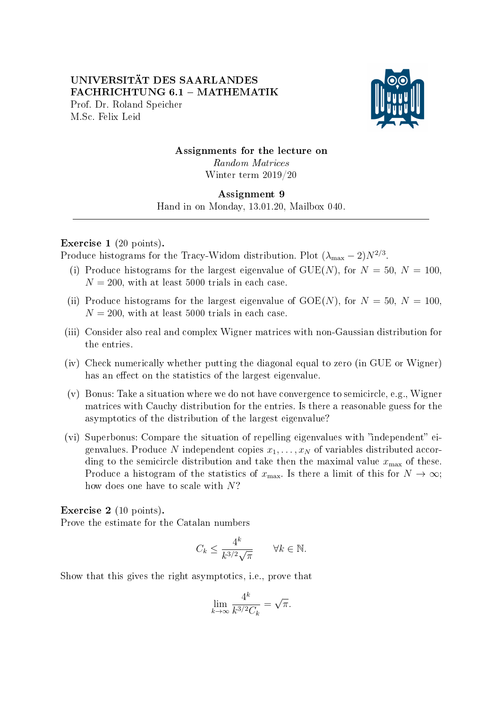## UNIVERSITÄT DES SAARLANDES FACHRICHTUNG 6.1 - MATHEMATIK Prof. Dr. Roland Speicher M.Sc. Felix Leid



# Assignments for the lecture on

Random Matrices Winter term 2019/20

#### Assignment 9

Hand in on Monday, 13.01.20, Mailbox 040. 

### Exercise 1 (20 points).

Produce histograms for the Tracy-Widom distribution. Plot  $(\lambda_{\text{max}} - 2)N^{2/3}$ .

- (i) Produce histograms for the largest eigenvalue of  $GUE(N)$ , for  $N = 50$ ,  $N = 100$ ,  $N = 200$ , with at least 5000 trials in each case.
- (ii) Produce histograms for the largest eigenvalue of  $GOE(N)$ , for  $N = 50$ ,  $N = 100$ ,  $N = 200$ , with at least 5000 trials in each case.
- (iii) Consider also real and complex Wigner matrices with non-Gaussian distribution for the entries.
- (iv) Check numerically whether putting the diagonal equal to zero (in GUE or Wigner) has an effect on the statistics of the largest eigenvalue.
- (v) Bonus: Take a situation where we do not have convergence to semicircle, e.g., Wigner matrices with Cauchy distribution for the entries. Is there a reasonable guess for the asymptotics of the distribution of the largest eigenvalue?
- (vi) Superbonus: Compare the situation of repelling eigenvalues with "independent" eigenvalues. Produce N independent copies  $x_1, \ldots, x_N$  of variables distributed according to the semicircle distribution and take then the maximal value  $x_{\text{max}}$  of these. Produce a histogram of the statistics of  $x_{\text{max}}$ . Is there a limit of this for  $N \to \infty$ ; how does one have to scale with N?

Exercise 2 (10 points).

Prove the estimate for the Catalan numbers

$$
C_k \le \frac{4^k}{k^{3/2}\sqrt{\pi}} \qquad \forall k \in \mathbb{N}.
$$

Show that this gives the right asymptotics, i.e., prove that

$$
\lim_{k \to \infty} \frac{4^k}{k^{3/2} C_k} = \sqrt{\pi}.
$$